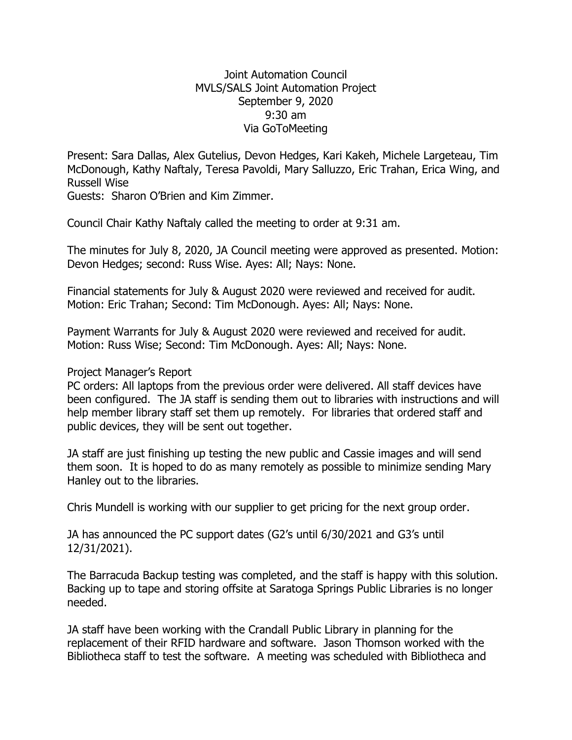## Joint Automation Council MVLS/SALS Joint Automation Project September 9, 2020 9:30 am Via GoToMeeting

Present: Sara Dallas, Alex Gutelius, Devon Hedges, Kari Kakeh, Michele Largeteau, Tim McDonough, Kathy Naftaly, Teresa Pavoldi, Mary Salluzzo, Eric Trahan, Erica Wing, and Russell Wise

Guests: Sharon O'Brien and Kim Zimmer.

Council Chair Kathy Naftaly called the meeting to order at 9:31 am.

The minutes for July 8, 2020, JA Council meeting were approved as presented. Motion: Devon Hedges; second: Russ Wise. Ayes: All; Nays: None.

Financial statements for July & August 2020 were reviewed and received for audit. Motion: Eric Trahan; Second: Tim McDonough. Ayes: All; Nays: None.

Payment Warrants for July & August 2020 were reviewed and received for audit. Motion: Russ Wise; Second: Tim McDonough. Ayes: All; Nays: None.

Project Manager's Report

PC orders: All laptops from the previous order were delivered. All staff devices have been configured. The JA staff is sending them out to libraries with instructions and will help member library staff set them up remotely. For libraries that ordered staff and public devices, they will be sent out together.

JA staff are just finishing up testing the new public and Cassie images and will send them soon. It is hoped to do as many remotely as possible to minimize sending Mary Hanley out to the libraries.

Chris Mundell is working with our supplier to get pricing for the next group order.

JA has announced the PC support dates (G2's until 6/30/2021 and G3's until 12/31/2021).

The Barracuda Backup testing was completed, and the staff is happy with this solution. Backing up to tape and storing offsite at Saratoga Springs Public Libraries is no longer needed.

JA staff have been working with the Crandall Public Library in planning for the replacement of their RFID hardware and software. Jason Thomson worked with the Bibliotheca staff to test the software. A meeting was scheduled with Bibliotheca and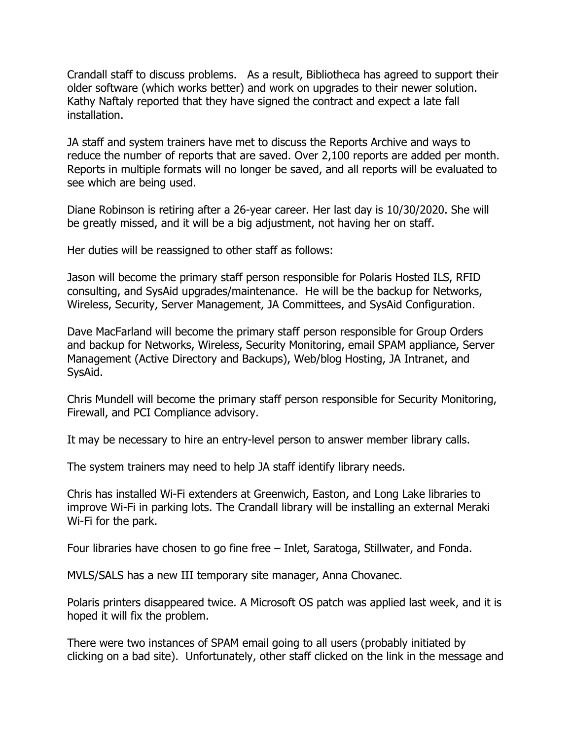Crandall staff to discuss problems. As a result, Bibliotheca has agreed to support their older software (which works better) and work on upgrades to their newer solution. Kathy Naftaly reported that they have signed the contract and expect a late fall installation.

JA staff and system trainers have met to discuss the Reports Archive and ways to reduce the number of reports that are saved. Over 2,100 reports are added per month. Reports in multiple formats will no longer be saved, and all reports will be evaluated to see which are being used.

Diane Robinson is retiring after a 26-year career. Her last day is 10/30/2020. She will be greatly missed, and it will be a big adjustment, not having her on staff.

Her duties will be reassigned to other staff as follows:

Jason will become the primary staff person responsible for Polaris Hosted ILS, RFID consulting, and SysAid upgrades/maintenance. He will be the backup for Networks, Wireless, Security, Server Management, JA Committees, and SysAid Configuration.

Dave MacFarland will become the primary staff person responsible for Group Orders and backup for Networks, Wireless, Security Monitoring, email SPAM appliance, Server Management (Active Directory and Backups), Web/blog Hosting, JA Intranet, and SysAid.

Chris Mundell will become the primary staff person responsible for Security Monitoring, Firewall, and PCI Compliance advisory.

It may be necessary to hire an entry-level person to answer member library calls.

The system trainers may need to help JA staff identify library needs.

Chris has installed Wi-Fi extenders at Greenwich, Easton, and Long Lake libraries to improve Wi-Fi in parking lots. The Crandall library will be installing an external Meraki Wi-Fi for the park.

Four libraries have chosen to go fine free – Inlet, Saratoga, Stillwater, and Fonda.

MVLS/SALS has a new III temporary site manager, Anna Chovanec.

Polaris printers disappeared twice. A Microsoft OS patch was applied last week, and it is hoped it will fix the problem.

There were two instances of SPAM email going to all users (probably initiated by clicking on a bad site). Unfortunately, other staff clicked on the link in the message and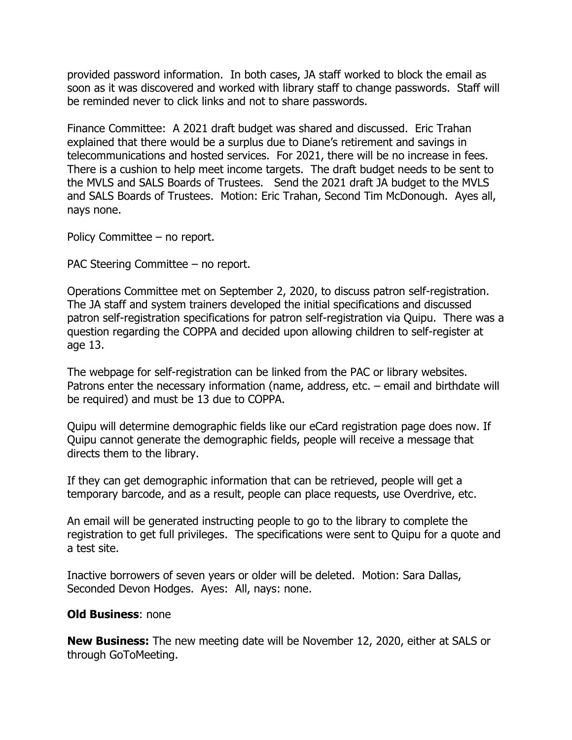provided password information. In both cases, JA staff worked to block the email as soon as it was discovered and worked with library staff to change passwords. Staff will be reminded never to click links and not to share passwords.

Finance Committee: A 2021 draft budget was shared and discussed. Eric Trahan explained that there would be a surplus due to Diane's retirement and savings in telecommunications and hosted services. For 2021, there will be no increase in fees. There is a cushion to help meet income targets. The draft budget needs to be sent to the MVLS and SALS Boards of Trustees. Send the 2021 draft JA budget to the MVLS and SALS Boards of Trustees. Motion: Eric Trahan, Second Tim McDonough. Ayes all, nays none.

Policy Committee – no report.

PAC Steering Committee – no report.

Operations Committee met on September 2, 2020, to discuss patron self-registration. The JA staff and system trainers developed the initial specifications and discussed patron self-registration specifications for patron self-registration via Quipu. There was a question regarding the COPPA and decided upon allowing children to self-register at age 13.

The webpage for self-registration can be linked from the PAC or library websites. Patrons enter the necessary information (name, address, etc. – email and birthdate will be required) and must be 13 due to COPPA.

Quipu will determine demographic fields like our eCard registration page does now. If Quipu cannot generate the demographic fields, people will receive a message that directs them to the library.

If they can get demographic information that can be retrieved, people will get a temporary barcode, and as a result, people can place requests, use Overdrive, etc.

An email will be generated instructing people to go to the library to complete the registration to get full privileges. The specifications were sent to Quipu for a quote and a test site.

Inactive borrowers of seven years or older will be deleted. Motion: Sara Dallas, Seconded Devon Hodges. Ayes: All, nays: none.

## **Old Business**: none

**New Business:** The new meeting date will be November 12, 2020, either at SALS or through GoToMeeting.